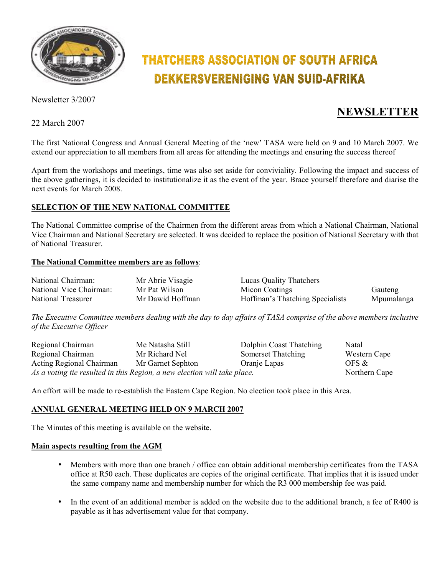

# **THATCHERS ASSOCIATION OF SOUTH AFRICA DEKKERSVERENIGING VAN SUID-AFRIKA**

Newsletter 3/2007

22 March 2007

# **NEWSLETTER**

The first National Congress and Annual General Meeting of the 'new' TASA were held on 9 and 10 March 2007. We extend our appreciation to all members from all areas for attending the meetings and ensuring the success thereof

Apart from the workshops and meetings, time was also set aside for conviviality. Following the impact and success of the above gatherings, it is decided to institutionalize it as the event of the year. Brace yourself therefore and diarise the next events for March 2008.

## **SELECTION OF THE NEW NATIONAL COMMITTEE**

The National Committee comprise of the Chairmen from the different areas from which a National Chairman, National Vice Chairman and National Secretary are selected. It was decided to replace the position of National Secretary with that of National Treasurer.

#### **The National Committee members are as follows**:

| National Chairman:      | Mr Abrie Visagie | <b>Lucas Quality Thatchers</b>  |            |
|-------------------------|------------------|---------------------------------|------------|
| National Vice Chairman: | Mr Pat Wilson    | Micon Coatings                  | Gauteng    |
| National Treasurer      | Mr Dawid Hoffman | Hoffman's Thatching Specialists | Mpumalanga |

*The Executive Committee members dealing with the day to day affairs of TASA comprise of the above members inclusive of the Executive Officer* 

| Regional Chairman                                                        | Me Natasha Still  | Dolphin Coast Thatching | Natal        |
|--------------------------------------------------------------------------|-------------------|-------------------------|--------------|
| Regional Chairman                                                        | Mr Richard Nel    | Somerset Thatching      | Western Cape |
| Acting Regional Chairman                                                 | Mr Garnet Sephton | Oranje Lapas            | OFS &        |
| As a voting tie resulted in this Region, a new election will take place. | Northern Cape     |                         |              |

An effort will be made to re-establish the Eastern Cape Region. No election took place in this Area.

#### **ANNUAL GENERAL MEETING HELD ON 9 MARCH 2007**

The Minutes of this meeting is available on the website.

#### **Main aspects resulting from the AGM**

- Members with more than one branch / office can obtain additional membership certificates from the TASA office at R50 each. These duplicates are copies of the original certificate. That implies that it is issued under the same company name and membership number for which the R3 000 membership fee was paid.
- In the event of an additional member is added on the website due to the additional branch, a fee of R400 is payable as it has advertisement value for that company.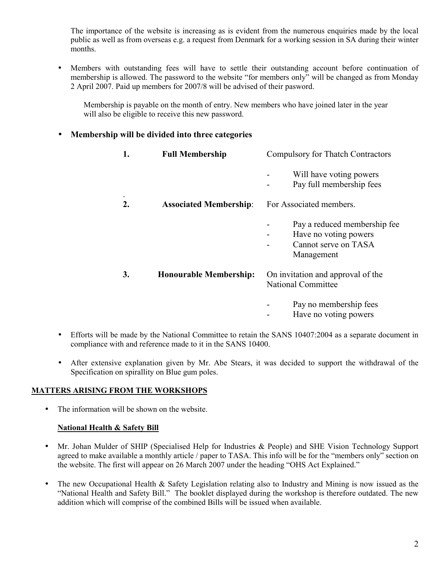The importance of the website is increasing as is evident from the numerous enquiries made by the local public as well as from overseas e.g. a request from Denmark for a working session in SA during their winter months.

• Members with outstanding fees will have to settle their outstanding account before continuation of membership is allowed. The password to the website "for members only" will be changed as from Monday 2 April 2007. Paid up members for 2007/8 will be advised of their pasword.

Membership is payable on the month of entry. New members who have joined later in the year will also be eligible to receive this new password.

### • **Membership will be divided into three categories**

| 1.           | <b>Full Membership</b>        | <b>Compulsory for Thatch Contractors</b>                                                    |  |
|--------------|-------------------------------|---------------------------------------------------------------------------------------------|--|
|              |                               | Will have voting powers<br>Pay full membership fees                                         |  |
| $\mathbf{2}$ | <b>Associated Membership:</b> | For Associated members.                                                                     |  |
|              |                               | Pay a reduced membership fee<br>Have no voting powers<br>Cannot serve on TASA<br>Management |  |
| 3.           | <b>Honourable Membership:</b> | On invitation and approval of the<br><b>National Committee</b>                              |  |
|              |                               | Pay no membership fees<br>Have no voting powers                                             |  |

- Efforts will be made by the National Committee to retain the SANS 10407:2004 as a separate document in compliance with and reference made to it in the SANS 10400.
- After extensive explanation given by Mr. Abe Stears, it was decided to support the withdrawal of the Specification on spirallity on Blue gum poles.

#### **MATTERS ARISING FROM THE WORKSHOPS**

• The information will be shown on the website.

#### **National Health & Safety Bill**

- Mr. Johan Mulder of SHIP (Specialised Help for Industries & People) and SHE Vision Technology Support agreed to make available a monthly article / paper to TASA. This info will be for the "members only" section on the website. The first will appear on 26 March 2007 under the heading "OHS Act Explained."
- The new Occupational Health & Safety Legislation relating also to Industry and Mining is now issued as the "National Health and Safety Bill." The booklet displayed during the workshop is therefore outdated. The new addition which will comprise of the combined Bills will be issued when available.